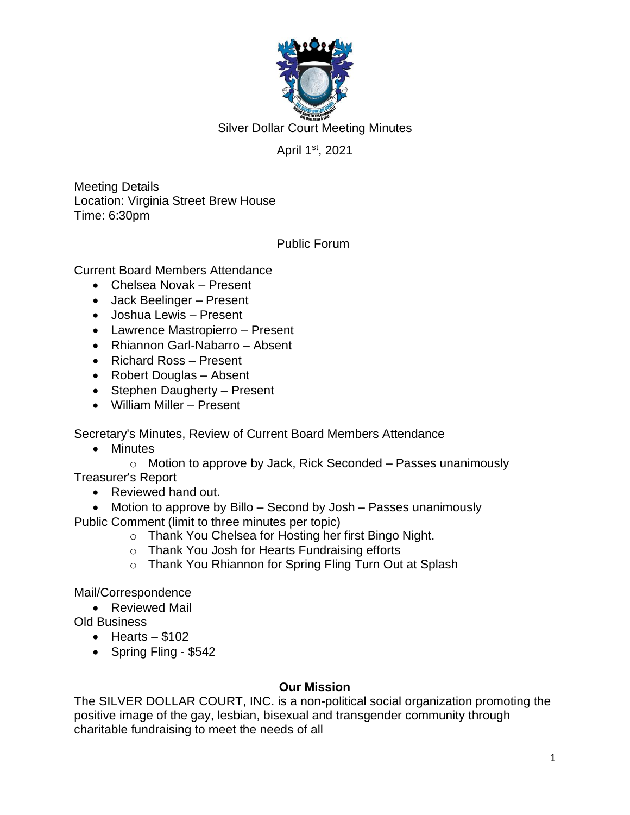

Silver Dollar Court Meeting Minutes

### April 1<sup>st</sup>, 2021

Meeting Details Location: Virginia Street Brew House Time: 6:30pm

Public Forum

Current Board Members Attendance

- Chelsea Novak Present
- Jack Beelinger Present
- Joshua Lewis Present
- Lawrence Mastropierro Present
- Rhiannon Garl-Nabarro Absent
- Richard Ross Present
- Robert Douglas Absent
- Stephen Daugherty Present
- William Miller Present

Secretary's Minutes, Review of Current Board Members Attendance

• Minutes

o Motion to approve by Jack, Rick Seconded – Passes unanimously Treasurer's Report

• Reviewed hand out.

• Motion to approve by Billo – Second by Josh – Passes unanimously Public Comment (limit to three minutes per topic)

- o Thank You Chelsea for Hosting her first Bingo Night.
- o Thank You Josh for Hearts Fundraising efforts
- o Thank You Rhiannon for Spring Fling Turn Out at Splash

Mail/Correspondence

- Reviewed Mail
- Old Business
	- $\bullet$  Hearts \$102
	- Spring Fling \$542

#### **Our Mission**

The SILVER DOLLAR COURT, INC. is a non-political social organization promoting the positive image of the gay, lesbian, bisexual and transgender community through charitable fundraising to meet the needs of all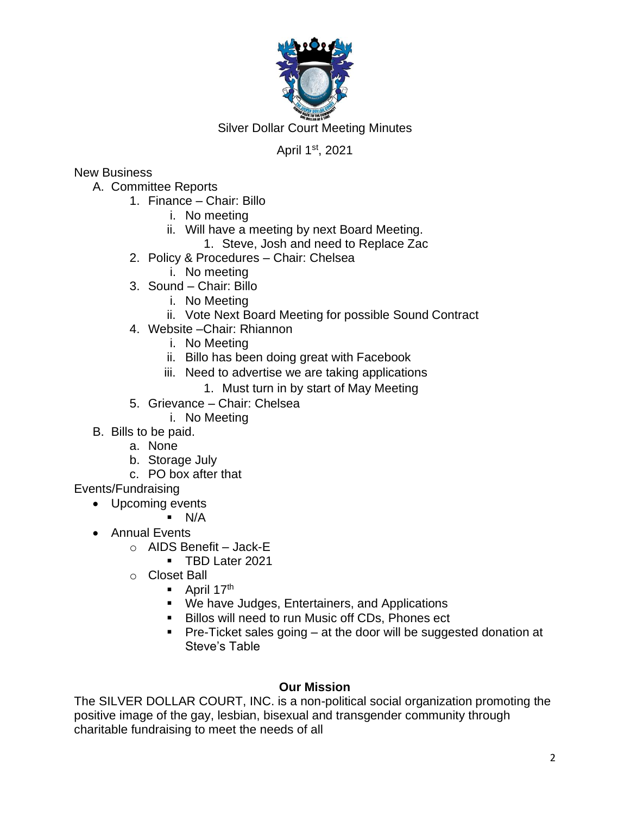

Silver Dollar Court Meeting Minutes

## April 1<sup>st</sup>, 2021

### New Business

- A. Committee Reports
	- 1. Finance Chair: Billo
		- i. No meeting
		- ii. Will have a meeting by next Board Meeting.
			- 1. Steve, Josh and need to Replace Zac
	- 2. Policy & Procedures Chair: Chelsea
		- i. No meeting
	- 3. Sound Chair: Billo
		- i. No Meeting
		- ii. Vote Next Board Meeting for possible Sound Contract
	- 4. Website –Chair: Rhiannon
		- i. No Meeting
		- ii. Billo has been doing great with Facebook
		- iii. Need to advertise we are taking applications
			- 1. Must turn in by start of May Meeting
	- 5. Grievance Chair: Chelsea
		- i. No Meeting
- B. Bills to be paid.
	- a. None
	- b. Storage July
	- c. PO box after that

# Events/Fundraising

- Upcoming events
	- $\blacksquare$  N/A
- Annual Events
	- $\circ$  AIDS Benefit Jack-E
		- TBD Later 2021
	- o Closet Ball
		- $\blacksquare$  April 17<sup>th</sup>
		- We have Judges, Entertainers, and Applications
		- Billos will need to run Music off CDs, Phones ect
		- Pre-Ticket sales going at the door will be suggested donation at Steve's Table

# **Our Mission**

The SILVER DOLLAR COURT, INC. is a non-political social organization promoting the positive image of the gay, lesbian, bisexual and transgender community through charitable fundraising to meet the needs of all